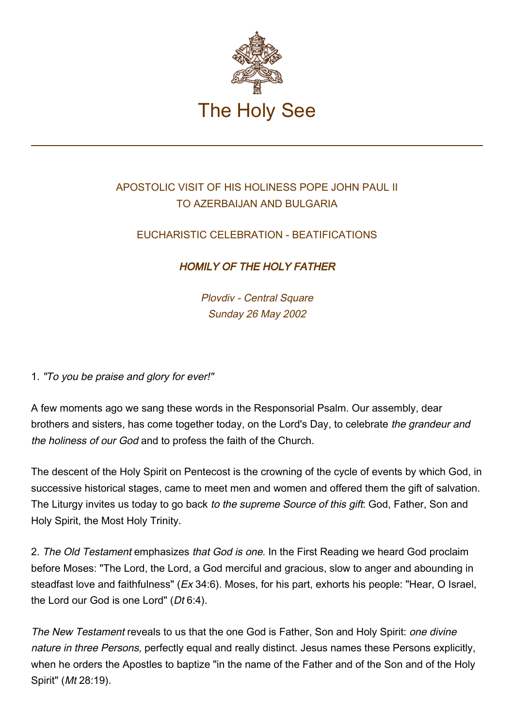

## APOSTOLIC VISIT OF HIS HOLINESS POPE JOHN PAUL II TO AZERBAIJAN AND BULGARIA

## EUCHARISTIC CELEBRATION - BEATIFICATIONS

## HOMILY OF THE HOLY FATHER

Plovdiv - Central Square Sunday 26 May 2002

1. "To you be praise and glory for ever!"

A few moments ago we sang these words in the Responsorial Psalm. Our assembly, dear brothers and sisters, has come together today, on the Lord's Day, to celebrate the grandeur and the holiness of our God and to profess the faith of the Church.

The descent of the Holy Spirit on Pentecost is the crowning of the cycle of events by which God, in successive historical stages, came to meet men and women and offered them the gift of salvation. The Liturgy invites us today to go back to the supreme Source of this gift: God, Father, Son and Holy Spirit, the Most Holy Trinity.

2. The Old Testament emphasizes that God is one. In the First Reading we heard God proclaim before Moses: "The Lord, the Lord, a God merciful and gracious, slow to anger and abounding in steadfast love and faithfulness" (Ex 34:6). Moses, for his part, exhorts his people: "Hear, O Israel, the Lord our God is one Lord" (Dt 6:4).

The New Testament reveals to us that the one God is Father, Son and Holy Spirit: one divine nature in three Persons, perfectly equal and really distinct. Jesus names these Persons explicitly, when he orders the Apostles to baptize "in the name of the Father and of the Son and of the Holy Spirit" (Mt 28:19).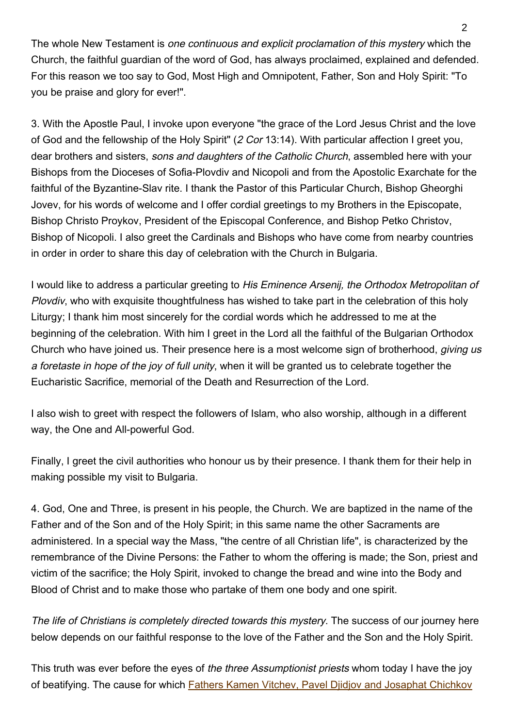The whole New Testament is one continuous and explicit proclamation of this mystery which the Church, the faithful guardian of the word of God, has always proclaimed, explained and defended. For this reason we too say to God, Most High and Omnipotent, Father, Son and Holy Spirit: "To you be praise and glory for ever!".

3. With the Apostle Paul, I invoke upon everyone "the grace of the Lord Jesus Christ and the love of God and the fellowship of the Holy Spirit" (2 Cor 13:14). With particular affection I greet you, dear brothers and sisters, sons and daughters of the Catholic Church, assembled here with your Bishops from the Dioceses of Sofia-Plovdiv and Nicopoli and from the Apostolic Exarchate for the faithful of the Byzantine-Slav rite. I thank the Pastor of this Particular Church, Bishop Gheorghi Jovev, for his words of welcome and I offer cordial greetings to my Brothers in the Episcopate, Bishop Christo Proykov, President of the Episcopal Conference, and Bishop Petko Christov, Bishop of Nicopoli. I also greet the Cardinals and Bishops who have come from nearby countries in order in order to share this day of celebration with the Church in Bulgaria.

I would like to address a particular greeting to His Eminence Arsenij, the Orthodox Metropolitan of Plovdiv, who with exquisite thoughtfulness has wished to take part in the celebration of this holy Liturgy; I thank him most sincerely for the cordial words which he addressed to me at the beginning of the celebration. With him I greet in the Lord all the faithful of the Bulgarian Orthodox Church who have joined us. Their presence here is a most welcome sign of brotherhood, *giving us* a foretaste in hope of the joy of full unity, when it will be granted us to celebrate together the Eucharistic Sacrifice, memorial of the Death and Resurrection of the Lord.

I also wish to greet with respect the followers of Islam, who also worship, although in a different way, the One and All-powerful God.

Finally, I greet the civil authorities who honour us by their presence. I thank them for their help in making possible my visit to Bulgaria.

4. God, One and Three, is present in his people, the Church. We are baptized in the name of the Father and of the Son and of the Holy Spirit; in this same name the other Sacraments are administered. In a special way the Mass, "the centre of all Christian life", is characterized by the remembrance of the Divine Persons: the Father to whom the offering is made; the Son, priest and victim of the sacrifice; the Holy Spirit, invoked to change the bread and wine into the Body and Blood of Christ and to make those who partake of them one body and one spirit.

The life of Christians is completely directed towards this mystery. The success of our journey here below depends on our faithful response to the love of the Father and the Son and the Holy Spirit.

This truth was ever before the eyes of the three Assumptionist priests whom today I have the joy of beatifying. The cause for which **[Fathers Kamen Vitchev, Pavel Djidjov and Josaphat Chichkov](http://www.vatican.va/news_services/liturgy/saints/ns_lit_doc_20020522_beatific-bulgaria_en.html)**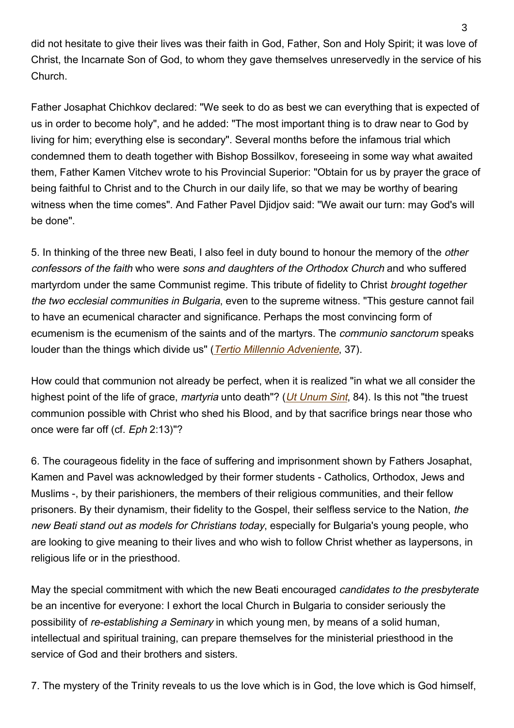did not hesitate to give their lives was their faith in God, Father, Son and Holy Spirit; it was love of Christ, the Incarnate Son of God, to whom they gave themselves unreservedly in the service of his Church.

Father Josaphat Chichkov declared: "We seek to do as best we can everything that is expected of us in order to become holy", and he added: "The most important thing is to draw near to God by living for him; everything else is secondary". Several months before the infamous trial which condemned them to death together with Bishop Bossilkov, foreseeing in some way what awaited them, Father Kamen Vitchev wrote to his Provincial Superior: "Obtain for us by prayer the grace of being faithful to Christ and to the Church in our daily life, so that we may be worthy of bearing witness when the time comes". And Father Pavel Diidiov said: "We await our turn: may God's will be done".

5. In thinking of the three new Beati, I also feel in duty bound to honour the memory of the other confessors of the faith who were sons and daughters of the Orthodox Church and who suffered martyrdom under the same Communist regime. This tribute of fidelity to Christ brought together the two ecclesial communities in Bulgaria, even to the supreme witness. "This gesture cannot fail to have an ecumenical character and significance. Perhaps the most convincing form of ecumenism is the ecumenism of the saints and of the martyrs. The communio sanctorum speaks louder than the things which divide us" (*[Tertio Millennio Adveniente](https://www.vatican.va/content/john-paul-ii/en/apost_letters/documents/hf_jp-ii_apl_10111994_tertio-millennio-adveniente.html)*, 37).

How could that communion not already be perfect, when it is realized "in what we all consider the highest point of the life of grace, martyria unto death"? (*[Ut Unum Sint](https://www.vatican.va/content/john-paul-ii/en/encyclicals/documents/hf_jp-ii_enc_25051995_ut-unum-sint.html)*, 84). Is this not "the truest communion possible with Christ who shed his Blood, and by that sacrifice brings near those who once were far off (cf. Eph 2:13)"?

6. The courageous fidelity in the face of suffering and imprisonment shown by Fathers Josaphat, Kamen and Pavel was acknowledged by their former students - Catholics, Orthodox, Jews and Muslims -, by their parishioners, the members of their religious communities, and their fellow prisoners. By their dynamism, their fidelity to the Gospel, their selfless service to the Nation, the new Beati stand out as models for Christians today, especially for Bulgaria's young people, who are looking to give meaning to their lives and who wish to follow Christ whether as laypersons, in religious life or in the priesthood.

May the special commitment with which the new Beati encouraged candidates to the presbyterate be an incentive for everyone: I exhort the local Church in Bulgaria to consider seriously the possibility of re-establishing a Seminary in which young men, by means of a solid human, intellectual and spiritual training, can prepare themselves for the ministerial priesthood in the service of God and their brothers and sisters.

7. The mystery of the Trinity reveals to us the love which is in God, the love which is God himself,